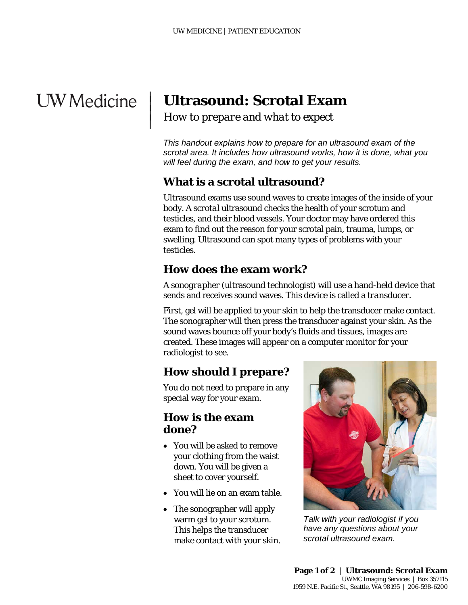# **UW** Medicine

 $\overline{\phantom{a}}$  $\vert$  $\vert$  $\vert$ 

# **Ultrasound: Scrotal Exam**

*How to prepare and what to expect*

*This handout explains how to prepare for an ultrasound exam of the scrotal area. It includes how ultrasound works, how it is done, what you will feel during the exam, and how to get your results.* 

# **What is a scrotal ultrasound?**

Ultrasound exams use sound waves to create images of the inside of your body. A *scrotal* ultrasound checks the health of your scrotum and testicles, and their blood vessels. Your doctor may have ordered this exam to find out the reason for your scrotal pain, trauma, lumps, or swelling. Ultrasound can spot many types of problems with your testicles.

### **How does the exam work?**

A *sonographer* (ultrasound technologist) will use a hand-held device that sends and receives sound waves. This device is called a *transducer.*

First, gel will be applied to your skin to help the transducer make contact. The sonographer will then press the transducer against your skin. As the sound waves bounce off your body's fluids and tissues, images are created. These images will appear on a computer monitor for your radiologist to see.

# **How should I prepare?**

You do not need to prepare in any special way for your exam.

#### **How is the exam done?**

- You will be asked to remove your clothing from the waist down. You will be given a sheet to cover yourself.
- You will lie on an exam table.
- The sonographer will apply warm gel to your scrotum. This helps the transducer make contact with your skin.

\_\_\_\_\_\_\_\_\_\_\_\_\_\_\_\_\_\_\_\_\_\_\_\_\_\_\_\_\_\_\_\_\_\_\_\_\_\_\_\_\_\_\_\_\_\_\_\_\_\_\_\_\_\_\_\_\_\_\_\_\_\_\_\_\_\_\_\_\_\_\_\_\_\_\_\_\_\_\_\_\_\_\_\_\_\_\_\_\_\_\_\_\_



*Talk with your radiologist if you have any questions about your scrotal ultrasound exam.*